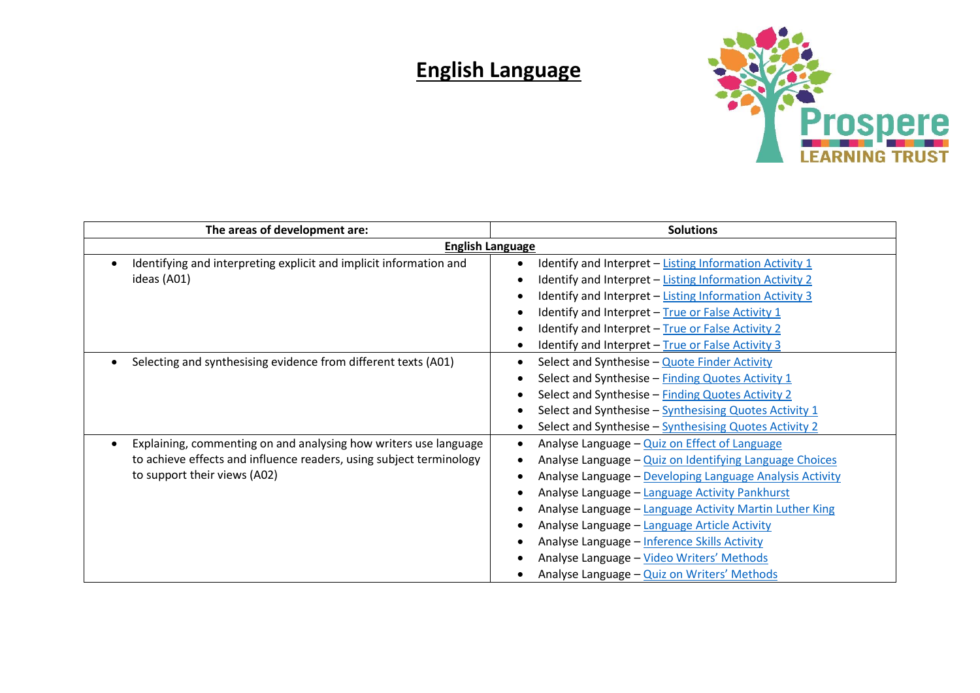## **English Language**



| The areas of development are:                                       | <b>Solutions</b>                                         |
|---------------------------------------------------------------------|----------------------------------------------------------|
| <b>English Language</b>                                             |                                                          |
| Identifying and interpreting explicit and implicit information and  | Identify and Interpret - Listing Information Activity 1  |
| ideas (A01)                                                         | Identify and Interpret - Listing Information Activity 2  |
|                                                                     | Identify and Interpret - Listing Information Activity 3  |
|                                                                     | Identify and Interpret - True or False Activity 1        |
|                                                                     | Identify and Interpret - True or False Activity 2        |
|                                                                     | Identify and Interpret - True or False Activity 3        |
| Selecting and synthesising evidence from different texts (A01)      | Select and Synthesise - Quote Finder Activity            |
|                                                                     | Select and Synthesise - Finding Quotes Activity 1        |
|                                                                     | Select and Synthesise - Finding Quotes Activity 2        |
|                                                                     | Select and Synthesise - Synthesising Quotes Activity 1   |
|                                                                     | Select and Synthesise - Synthesising Quotes Activity 2   |
| Explaining, commenting on and analysing how writers use language    | Analyse Language - Quiz on Effect of Language            |
| to achieve effects and influence readers, using subject terminology | Analyse Language - Quiz on Identifying Language Choices  |
| to support their views (A02)                                        | Analyse Language - Developing Language Analysis Activity |
|                                                                     | Analyse Language - Language Activity Pankhurst           |
|                                                                     | Analyse Language - Language Activity Martin Luther King  |
|                                                                     | Analyse Language - Language Article Activity             |
|                                                                     | Analyse Language - Inference Skills Activity             |
|                                                                     | Analyse Language - Video Writers' Methods                |
|                                                                     | Analyse Language - Quiz on Writers' Methods              |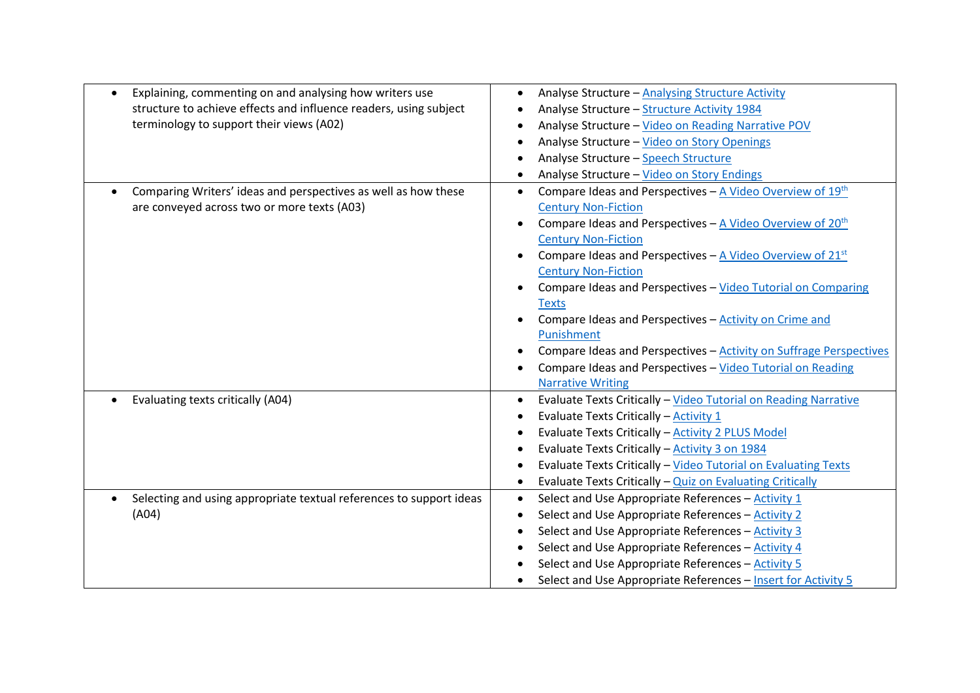| Explaining, commenting on and analysing how writers use             | Analyse Structure - Analysing Structure Activity<br>$\bullet$                                   |
|---------------------------------------------------------------------|-------------------------------------------------------------------------------------------------|
| structure to achieve effects and influence readers, using subject   | Analyse Structure - Structure Activity 1984                                                     |
| terminology to support their views (A02)                            | Analyse Structure - Video on Reading Narrative POV                                              |
|                                                                     | Analyse Structure - Video on Story Openings                                                     |
|                                                                     | Analyse Structure - Speech Structure                                                            |
|                                                                     | Analyse Structure - Video on Story Endings<br>$\bullet$                                         |
| Comparing Writers' ideas and perspectives as well as how these      | Compare Ideas and Perspectives $-\underline{A}$ Video Overview of 19 <sup>th</sup><br>$\bullet$ |
| are conveyed across two or more texts (A03)                         | <b>Century Non-Fiction</b>                                                                      |
|                                                                     | Compare Ideas and Perspectives $-\underline{A}$ Video Overview of 20 <sup>th</sup>              |
|                                                                     | <b>Century Non-Fiction</b>                                                                      |
|                                                                     | Compare Ideas and Perspectives - A Video Overview of 21st                                       |
|                                                                     | <b>Century Non-Fiction</b>                                                                      |
|                                                                     | Compare Ideas and Perspectives - Video Tutorial on Comparing                                    |
|                                                                     | <b>Texts</b>                                                                                    |
|                                                                     | Compare Ideas and Perspectives - Activity on Crime and                                          |
|                                                                     | Punishment                                                                                      |
|                                                                     | Compare Ideas and Perspectives - Activity on Suffrage Perspectives                              |
|                                                                     | Compare Ideas and Perspectives - Video Tutorial on Reading                                      |
|                                                                     | <b>Narrative Writing</b>                                                                        |
| Evaluating texts critically (A04)                                   | Evaluate Texts Critically - Video Tutorial on Reading Narrative                                 |
|                                                                     | Evaluate Texts Critically - Activity 1                                                          |
|                                                                     | Evaluate Texts Critically - Activity 2 PLUS Model                                               |
|                                                                     | Evaluate Texts Critically - Activity 3 on 1984                                                  |
|                                                                     | Evaluate Texts Critically - Video Tutorial on Evaluating Texts                                  |
|                                                                     | Evaluate Texts Critically - Quiz on Evaluating Critically                                       |
| Selecting and using appropriate textual references to support ideas | Select and Use Appropriate References - Activity 1<br>$\bullet$                                 |
| (A04)                                                               | Select and Use Appropriate References - Activity 2<br>$\bullet$                                 |
|                                                                     | Select and Use Appropriate References - Activity 3                                              |
|                                                                     | Select and Use Appropriate References - Activity 4                                              |
|                                                                     | Select and Use Appropriate References - Activity 5                                              |
|                                                                     | Select and Use Appropriate References - Insert for Activity 5                                   |